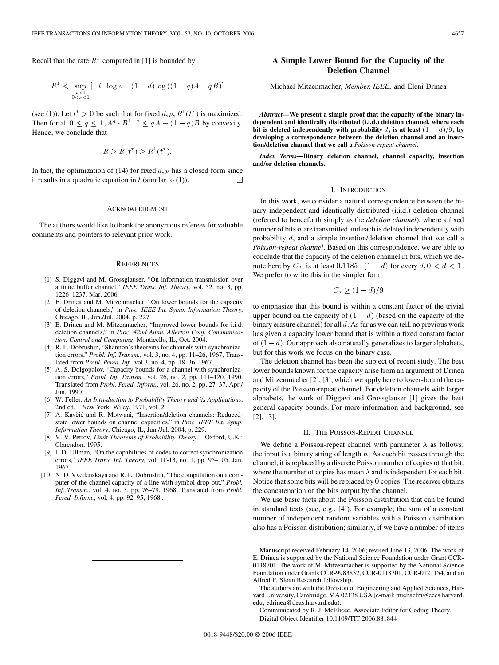<span id="page-0-0"></span>Recall that the rate  $R<sup>1</sup>$  computed in [1] is bounded by

$$
R^1 < \sup_{\substack{t>0\\0
$$

(see [\(1\)](#page-3-0)). Let  $t^* > 0$  be such that for fixed  $d, p, R^1(t^*)$  is maximized. Then for all  $0 \le q \le 1$ ,  $A^q \cdot B^{1-q} \le qA + (1 - q)B$  by convexity. Hence, we conclude that

$$
R \ge R(t^*) \ge R^1(t^*).
$$

In fact, the optimization of (14) for fixed  $d, p$  has a closed form since it results in a quadratic equation in  $t$  (similar to [\(1\)\)](#page-3-0). П

## ACKNOWLEDGMENT

The authors would like to thank the anonymous referees for valuable comments and pointers to relevant prior work.

#### **REFERENCES**

- [1] S. Diggavi and M. Grossglauser, "On information transmission over a finite buffer channel," *IEEE Trans. Inf. Theory*, vol. 52, no. 3, pp. 1226–1237, Mar. 2006.
- [2] E. Drinea and M. Mitzenmacher, "On lower bounds for the capacity of deletion channels," in *Proc. IEEE Int. Symp. Information Theory*, Chicago, IL, Jun./Jul. 2004, p. 227.
- [3] E. Drinea and M. Mitzenmacher, "Improved lower bounds for i.i.d. deletion channels," in *Proc. 42nd Annu. Allerton Conf. Communication, Control and Computing*, Monticello, IL, Oct. 2004.
- [4] R. L. Dobrushin, "Shannon's theorems for channels with synchronization errors," *Probl. Inf. Transm.*, vol. 3, no. 4, pp. 11–26, 1967, Translated from *Probl. Pered. Inf.*, vol.3, no. 4, pp. 18–36, 1967.
- [5] A. S. Dolgopolov, "Capacity bounds for a channel with synchronization errors," *Probl. Inf. Transm.*, vol. 26, no. 2, pp. 111–120, 1990, Translated from *Probl. Pered. Inform.*, vol. 26, no. 2, pp. 27–37, Apr./ Jun. 1990.
- [6] W. Feller*, An Introduction to Probability Theory and its Applications*, 2nd ed. New York: Wiley, 1971, vol. 2.
- [7] A. Kavčić and R. Motwani, "Insertion/deletion channels: Reducedstate lower bounds on channel capacities," in *Proc. IEEE Int. Symp. Information Theory*, Chicago, IL, Jun./Jul. 2004, p. 229.
- [8] V. V. Petrov*, Limit Theorems of Probability Theory*. Oxford, U.K.: Clarendon, 1995.
- [9] J. D. Ullman, "On the capabilities of codes to correct synchronization errors," *IEEE Trans. Inf. Theory*, vol. IT-13, no. 1, pp. 95–105, Jan. 1967.
- [10] N. D. Vvedenskaya and R. L. Dobrushin, "The computation on a computer of the channel capacity of a line with symbol drop-out," *Probl. Inf. Transm.*, vol. 4, no. 3, pp. 76–79, 1968, Translated from *Probl. Pered. Inform.*, vol. 4, pp. 92–95, 1968..

# **A Simple Lower Bound for the Capacity of the Deletion Channel**

Michael Mitzenmacher*, Member, IEEE*, and Eleni Drinea

*Abstract—***We present a simple proof that the capacity of the binary independent and identically distributed (i.i.d.) deletion channel, where each bit is deleted independently with probability** d, is at least  $(1 - d)/9$ , by **developing a correspondence between the deletion channel and an insertion/deletion channel that we call a** *Poisson-repeat channel***.**

*Index Terms—***Binary deletion channel, channel capacity, insertion and/or deletion channels.**

## I. INTRODUCTION

In this work, we consider a natural correspondence between the binary independent and identically distributed (i.i.d.) deletion channel (referred to henceforth simply as the *deletion channel*), where a fixed number of bits  $n$  are transmitted and each is deleted independently with probability d, and a simple insertion/deletion channel that we call a *Poisson-repeat channel*. Based on this correspondence, we are able to conclude that the capacity of the deletion channel in bits, which we denote here by  $C_d$ , is at least  $0.1185 \cdot (1 - d)$  for every  $d, 0 < d < 1$ . We prefer to write this in the simpler form

$$
C_d \ge (1-d)/9
$$

to emphasize that this bound is within a constant factor of the trivial upper bound on the capacity of  $(1 - d)$  (based on the capacity of the binary erasure channel) for all  $d$ . As far as we can tell, no previous work has given a capacity lower bound that is within a fixed constant factor of  $(1-d)$ . Our approach also naturally generalizes to larger alphabets, but for this work we focus on the binary case.

The deletion channel has been the subject of recent study. The best lower bounds known for the capacity arise from an argument of Drinea and Mitzenmacher [2], [3], which we apply here to lower-bound the capacity of the Poisson-repeat channel. For deletion channels with larger alphabets, the work of Diggavi and Grossglauser [1] gives the best general capacity bounds. For more information and background, see [2], [3].

# II. THE POISSON-REPEAT CHANNEL

We define a Poisson-repeat channel with parameter  $\lambda$  as follows: the input is a binary string of length  $n$ . As each bit passes through the channel, it is replaced by a discrete Poisson number of copies of that bit, where the number of copies has mean  $\lambda$  and is independent for each bit. Notice that some bits will be replaced by 0 copies. The receiver obtains the concatenation of the bits output by the channel.

We use basic facts about the Poisson distribution that can be found in standard texts (see, e.g., [4]). For example, the sum of a constant number of independent random variables with a Poisson distribution also has a Poisson distribution; similarly, if we have a number of items

Manuscript received February 14, 2006; revised June 13, 2006. The work of E. Drinea is supported by the National Science Foundation under Grant CCR-0118701. The work of M. Mitzenmacher is supported by the National Science Foundation under Grants CCR-9983832, CCR-0118701, CCR-0121154, and an Alfred P. Sloan Research fellowship.

The authors are with the Division of Engineering and Applied Sciences, Harvard University, Cambridge, MA 02138 USA (e-mail: michaelm@eecs.harvard. edu; edrinea@deas.harvard.edu).

Communicated by R. J. McEliece, Associate Editor for Coding Theory. Digital Object Identifier 10.1109/TIT.2006.881844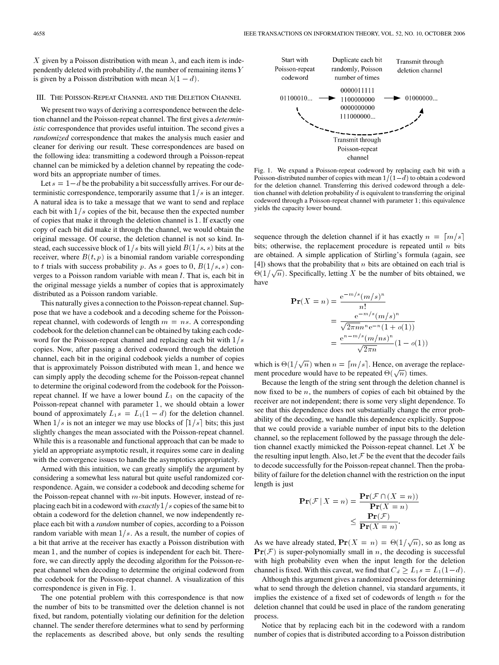<span id="page-1-0"></span>X given by a Poisson distribution with mean  $\lambda$ , and each item is independently deleted with probability  $d$ , the number of remaining items  $Y$ is given by a Poisson distribution with mean  $\lambda(1 - d)$ .

# III. THE POISSON-REPEAT CHANNEL AND THE DELETION CHANNEL

We present two ways of deriving a correspondence between the deletion channel and the Poisson-repeat channel. The first gives a *deterministic* correspondence that provides useful intuition. The second gives a *randomized* correspondence that makes the analysis much easier and cleaner for deriving our result. These correspondences are based on the following idea: transmitting a codeword through a Poisson-repeat channel can be mimicked by a deletion channel by repeating the codeword bits an appropriate number of times.

Let  $s = 1-d$  be the probability a bit successfully arrives. For our deterministic correspondence, temporarily assume that  $1/s$  is an integer. A natural idea is to take a message that we want to send and replace each bit with  $1/s$  copies of the bit, because then the expected number of copies that make it through the deletion channel is 1. If exactly one copy of each bit did make it through the channel, we would obtain the original message. Of course, the deletion channel is not so kind. Instead, each successive block of  $1/s$  bits will yield  $B(1/s, s)$  bits at the receiver, where  $B(t, p)$  is a binomial random variable corresponding to t trials with success probability p. As s goes to 0,  $B(1/s, s)$  converges to a Poisson random variable with mean *l*. That is, each bit in the original message yields a number of copies that is approximately distributed as a Poisson random variable.

This naturally gives a connection to the Poisson-repeat channel. Suppose that we have a codebook and a decoding scheme for the Poissonrepeat channel, with codewords of length  $m = ns$ . A corresponding codebook for the deletion channel can be obtained by taking each codeword for the Poisson-repeat channel and replacing each bit with  $1/s$ copies. Now, after passing a derived codeword through the deletion channel, each bit in the original codebook yields a number of copies that is approximately Poisson distributed with mean 1, and hence we can simply apply the decoding scheme for the Poisson-repeat channel to determine the original codeword from the codebook for the Poissonrepeat channel. If we have a lower bound  $L_1$  on the capacity of the Poisson-repeat channel with parameter 1, we should obtain a lower bound of approximately  $L_1s = L_1(1 - d)$  for the deletion channel. When  $1/s$  is not an integer we may use blocks of  $\lceil 1/s \rceil$  bits; this just slightly changes the mean associated with the Poisson-repeat channel. While this is a reasonable and functional approach that can be made to yield an appropriate asymptotic result, it requires some care in dealing with the convergence issues to handle the asymptotics appropriately.

Armed with this intuition, we can greatly simplify the argument by considering a somewhat less natural but quite useful randomized correspondence. Again, we consider a codebook and decoding scheme for the Poisson-repeat channel with  $m$ -bit inputs. However, instead of replacing each bit in a codeword with *exactly*  $1/s$  copies of the same bit to obtain a codeword for the deletion channel, we now independently replace each bit with a *random* number of copies, according to a Poisson random variable with mean  $1/s$ . As a result, the number of copies of a bit that arrive at the receiver has exactly a Poisson distribution with mean 1, and the number of copies is independent for each bit. Therefore, we can directly apply the decoding algorithm for the Poisson-repeat channel when decoding to determine the original codeword from the codebook for the Poisson-repeat channel. A visualization of this correspondence is given in Fig. 1.

The one potential problem with this correspondence is that now the number of bits to be transmitted over the deletion channel is not fixed, but random, potentially violating our definition for the deletion channel. The sender therefore determines what to send by performing the replacements as described above, but only sends the resulting



Fig. 1. We expand a Poisson-repeat codeword by replacing each bit with a channel<br>Poisson-distributed number of copies with mean  $1/(1-d)$  to obtain a codeword<br>Poisson-distributed number of copies with mean  $1/(1-d)$  to obtain a codeword for the deletion channel. Transferring this derived codeword through a deletion channel with deletion probability  $d$  is equivalent to transferring the original codeword through a Poisson-repeat channel with parameter 1; this equivalence yields the capacity lower bound.

sequence through the deletion channel if it has exactly  $n = \lfloor m/s \rfloor$ bits; otherwise, the replacement procedure is repeated until  $n$  bits are obtained. A simple application of Stirling's formula (again, see [\[4\]](#page-0-0)) shows that the probability that  $n$  bits are obtained on each trial is  $\Theta(1/\sqrt{n})$ . Specifically, letting X be the number of bits obtained, we<br>have<br> $\mathbf{Pr}(X = n) = \frac{e^{-m/s} (m/s)^n}{n}$ have

$$
\begin{aligned} \mathbf{Pr}(X=n) &= \frac{e^{-m/s}(m/s)^n}{n!} \\ &= \frac{e^{-m/s}(m/s)^n}{\sqrt{2\pi n}n^n e^{-n}(1+o(1))} \\ &= \frac{e^{n-m/s}(m/ns)^n}{\sqrt{2\pi n}}(1-o(1)) \end{aligned}
$$

which is  $\Theta(1/\sqrt{n})$  when  $n = \lceil m/s \rceil$ . Hence, on average the replacement procedure would have to be repeated  $\Theta(\sqrt{n})$  times.

Because the length of the string sent through the deletion channel is now fixed to be  $n$ , the numbers of copies of each bit obtained by the receiver are not independent; there is some very slight dependence. To see that this dependence does not substantially change the error probability of the decoding, we handle this dependence explicitly. Suppose that we could provide a variable number of input bits to the deletion channel, so the replacement followed by the passage through the deletion channel exactly mimicked the Poisson-repeat channel. Let  $X$  be the resulting input length. Also, let  $\mathcal F$  be the event that the decoder fails to decode successfully for the Poisson-repeat channel. Then the probability of failure for the deletion channel with the restriction on the input length is just

$$
\mathbf{Pr}(\mathcal{F} | X = n) = \frac{\mathbf{Pr}(\mathcal{F} \cap (X = n))}{\mathbf{Pr}(X = n)}
$$

$$
\leq \frac{\mathbf{Pr}(\mathcal{F})}{\mathbf{Pr}(X = n)}.
$$

As we have already stated,  $\mathbf{Pr}(X = n) = \Theta(1/\sqrt{n})$ , so as long as  $\Pr(\mathcal{F})$  is super-polynomially small in *n*, the decoding is successful with high probability even when the input length for the deletion channel is fixed. With this caveat, we find that  $C_d \ge L_1 s = L_1(1-d)$ .

Although this argument gives a randomized process for determining what to send through the deletion channel, via standard arguments, it implies the existence of a fixed set of codewords of length  $n$  for the deletion channel that could be used in place of the random generating process.

Notice that by replacing each bit in the codeword with a random number of copies that is distributed according to a Poisson distribution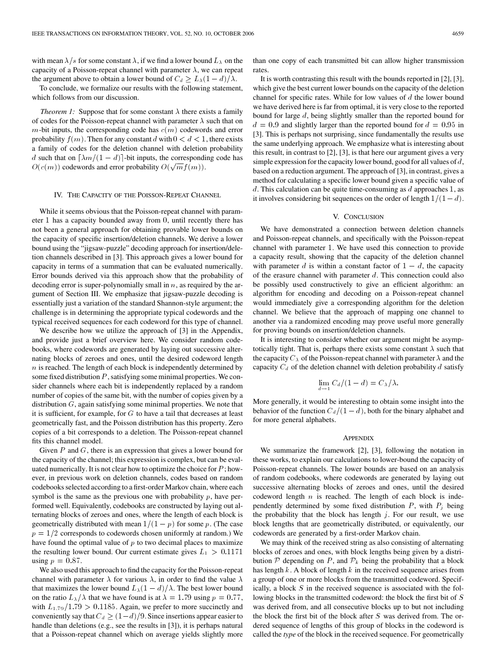with mean  $\lambda/s$  for some constant  $\lambda$ , if we find a lower bound  $L_{\lambda}$  on the capacity of a Poisson-repeat channel with parameter  $\lambda$ , we can repeat the argument above to obtain a lower bound of  $C_d \geq L_{\lambda}(1 - d)/\lambda$ .

To conclude, we formalize our results with the following statement, which follows from our discussion.

*Theorem 1:* Suppose that for some constant  $\lambda$  there exists a family of codes for the Poisson-repeat channel with parameter  $\lambda$  such that on  $m$ -bit inputs, the corresponding code has  $c(m)$  codewords and error probability  $f(m)$ . Then for any constant d with  $0 < d < 1$ , there exists a family of codes for the deletion channel with deletion probability d such that on  $\lceil \lambda m/(1 - d) \rceil$ -bit inputs, the corresponding code has  $O(c(m))$  codewords and error probability  $O(\sqrt{m}f(m))$ .

#### IV. THE CAPACITY OF THE POISSON-REPEAT CHANNEL

While it seems obvious that the Poisson-repeat channel with parameter 1 has a capacity bounded away from 0, until recently there has not been a general approach for obtaining provable lower bounds on the capacity of specific insertion/deletion channels. We derive a lower bound using the "jigsaw-puzzle" decoding approach for insertion/deletion channels described in [\[3\]](#page-0-0). This approach gives a lower bound for capacity in terms of a summation that can be evaluated numerically. Error bounds derived via this approach show that the probability of decoding error is super-polynomially small in  $n$ , as required by the argument of [Section III](#page-1-0). We emphasize that jigsaw-puzzle decoding is essentially just a variation of the standard Shannon-style argument; the challenge is in determining the appropriate typical codewords and the typical received sequences for each codeword for this type of channel.

We describe how we utilize the approach of [\[3\]](#page-0-0) in the Appendix, and provide just a brief overview here. We consider random codebooks, where codewords are generated by laying out successive alternating blocks of zeroes and ones, until the desired codeword length  $n$  is reached. The length of each block is independently determined by some fixed distribution  $P$ , satisfying some minimal properties. We consider channels where each bit is independently replaced by a random number of copies of the same bit, with the number of copies given by a distribution  $G$ , again satisfying some minimal properties. We note that it is sufficient, for example, for  $G$  to have a tail that decreases at least geometrically fast, and the Poisson distribution has this property. Zero copies of a bit corresponds to a deletion. The Poisson-repeat channel fits this channel model.

Given  $P$  and  $G$ , there is an expression that gives a lower bound for the capacity of the channel; this expression is complex, but can be evaluated numerically. It is not clear how to optimize the choice for  $P$ ; however, in previous work on deletion channels, codes based on random codebooks selected according to a first-order Markov chain, where each symbol is the same as the previous one with probability  $p$ , have performed well. Equivalently, codebooks are constructed by laying out alternating blocks of zeroes and ones, where the length of each block is geometrically distributed with mean  $1/(1 - p)$  for some p. (The case  $p = 1/2$  corresponds to codewords chosen uniformly at random.) We have found the optimal value of  $p$  to two decimal places to maximize the resulting lower bound. Our current estimate gives  $L_1 > 0.1171$ using  $p = 0.87$ .

We also used this approach to find the capacity for the Poisson-repeat channel with parameter  $\lambda$  for various  $\lambda$ , in order to find the value  $\lambda$ that maximizes the lower bound  $L_{\lambda}(1 - d)/\lambda$ . The best lower bound on the ratio  $L_{\lambda}/\lambda$  that we have found is at  $\lambda = 1.79$  using  $p = 0.77$ , with  $L_{1.79}/1.79>0.1185$ . Again, we prefer to more succinctly and conveniently say that  $C_d \geq (1-d)/9$ . Since insertions appear easier to handle than deletions (e.g., see the results in [\[3\]\)](#page-0-0), it is perhaps natural that a Poisson-repeat channel which on average yields slightly more

than one copy of each transmitted bit can allow higher transmission rates.

It is worth contrasting this result with the bounds reported in [\[2\]](#page-0-0), [\[3\],](#page-0-0) which give the best current lower bounds on the capacity of the deletion channel for specific rates. While for low values of  $d$  the lower bound we have derived here is far from optimal, it is very close to the reported bound for large d, being slightly smaller than the reported bound for  $d = 0.9$  and slightly larger than the reported bound for  $d = 0.95$  in [\[3\].](#page-0-0) This is perhaps not surprising, since fundamentally the results use the same underlying approach. We emphasize what is interesting about this result, in contrast to [\[2\]](#page-0-0), [\[3\]](#page-0-0), is that here our argument gives a very simple expression for the capacity lower bound, good for all values of  $d$ , based on a reduction argument. The approach of [\[3\],](#page-0-0) in contrast, gives a method for calculating a specific lower bound given a specific value of  $d$ . This calculation can be quite time-consuming as  $d$  approaches 1, as it involves considering bit sequences on the order of length  $1/(1 - d)$ .

### V. CONCLUSION

We have demonstrated a connection between deletion channels and Poisson-repeat channels, and specifically with the Poisson-repeat channel with parameter 1. We have used this connection to provide a capacity result, showing that the capacity of the deletion channel with parameter d is within a constant factor of  $1 - d$ , the capacity of the erasure channel with parameter  $d$ . This connection could also be possibly used constructively to give an efficient algorithm: an algorithm for encoding and decoding on a Poisson-repeat channel would immediately give a corresponding algorithm for the deletion channel. We believe that the approach of mapping one channel to another via a randomized encoding may prove useful more generally for proving bounds on insertion/deletion channels.

It is interesting to consider whether our argument might be asymptotically tight. That is, perhaps there exists some constant  $\lambda$  such that the capacity  $C_{\lambda}$  of the Poisson-repeat channel with parameter  $\lambda$  and the capacity  $C_d$  of the deletion channel with deletion probability d satisfy

$$
\lim_{d \to 1} C_d/(1-d) = C_{\lambda}/\lambda.
$$

More generally, it would be interesting to obtain some insight into the behavior of the function  $C_d/(1 - d)$ , both for the binary alphabet and for more general alphabets.

## **APPENDIX**

We summarize the framework [\[2\], \[3\]](#page-0-0), following the notation in these works, to explain our calculations to lower-bound the capacity of Poisson-repeat channels. The lower bounds are based on an analysis of random codebooks, where codewords are generated by laying out successive alternating blocks of zeroes and ones, until the desired codeword length  $n$  is reached. The length of each block is independently determined by some fixed distribution  $P$ , with  $P_j$  being the probability that the block has length  $j$ . For our result, we use block lengths that are geometrically distributed, or equivalently, our codewords are generated by a first-order Markov chain.

We may think of the received string as also consisting of alternating blocks of zeroes and ones, with block lengths being given by a distribution  $P$  depending on P, and  $P_k$  being the probability that a block has length  $k$ . A block of length  $k$  in the received sequence arises from a group of one or more blocks from the transmitted codeword. Specifically, a block S in the received sequence is associated with the following blocks in the transmitted codeword: the block the first bit of S was derived from, and all consecutive blocks up to but not including the block the first bit of the block after S was derived from. The ordered sequence of lengths of this group of blocks in the codeword is called the *type* of the block in the received sequence. For geometrically